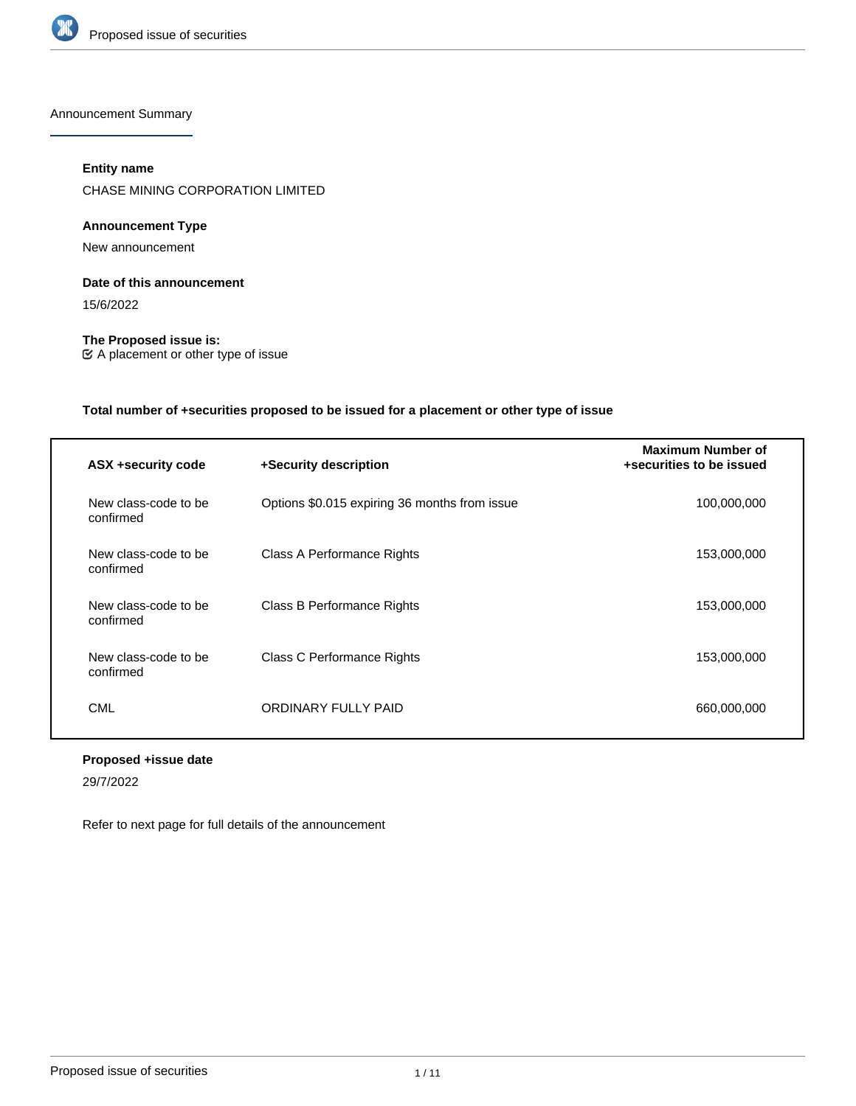

Announcement Summary

# **Entity name**

CHASE MINING CORPORATION LIMITED

# **Announcement Type**

New announcement

## **Date of this announcement**

15/6/2022

**The Proposed issue is:** A placement or other type of issue

# **Total number of +securities proposed to be issued for a placement or other type of issue**

| ASX +security code                | +Security description                         | <b>Maximum Number of</b><br>+securities to be issued |
|-----------------------------------|-----------------------------------------------|------------------------------------------------------|
| New class-code to be<br>confirmed | Options \$0.015 expiring 36 months from issue | 100,000,000                                          |
| New class-code to be<br>confirmed | Class A Performance Rights                    | 153,000,000                                          |
| New class-code to be<br>confirmed | Class B Performance Rights                    | 153,000,000                                          |
| New class-code to be<br>confirmed | Class C Performance Rights                    | 153,000,000                                          |
| CML                               | ORDINARY FULLY PAID                           | 660,000,000                                          |

# **Proposed +issue date**

29/7/2022

Refer to next page for full details of the announcement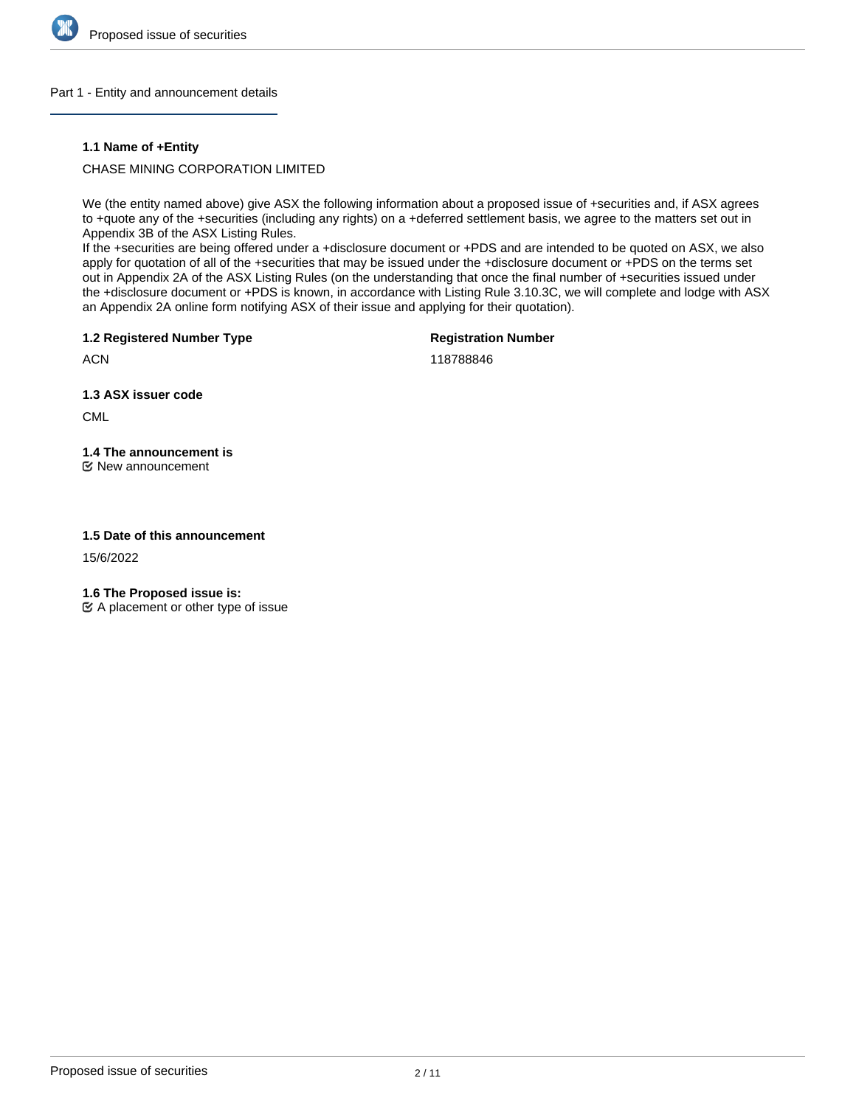

## Part 1 - Entity and announcement details

## **1.1 Name of +Entity**

CHASE MINING CORPORATION LIMITED

We (the entity named above) give ASX the following information about a proposed issue of +securities and, if ASX agrees to +quote any of the +securities (including any rights) on a +deferred settlement basis, we agree to the matters set out in Appendix 3B of the ASX Listing Rules.

If the +securities are being offered under a +disclosure document or +PDS and are intended to be quoted on ASX, we also apply for quotation of all of the +securities that may be issued under the +disclosure document or +PDS on the terms set out in Appendix 2A of the ASX Listing Rules (on the understanding that once the final number of +securities issued under the +disclosure document or +PDS is known, in accordance with Listing Rule 3.10.3C, we will complete and lodge with ASX an Appendix 2A online form notifying ASX of their issue and applying for their quotation).

**1.2 Registered Number Type**

**Registration Number**

**ACN** 

118788846

**1.3 ASX issuer code**

CML

**1.4 The announcement is** New announcement

## **1.5 Date of this announcement**

15/6/2022

**1.6 The Proposed issue is:**

 $\mathfrak{C}$  A placement or other type of issue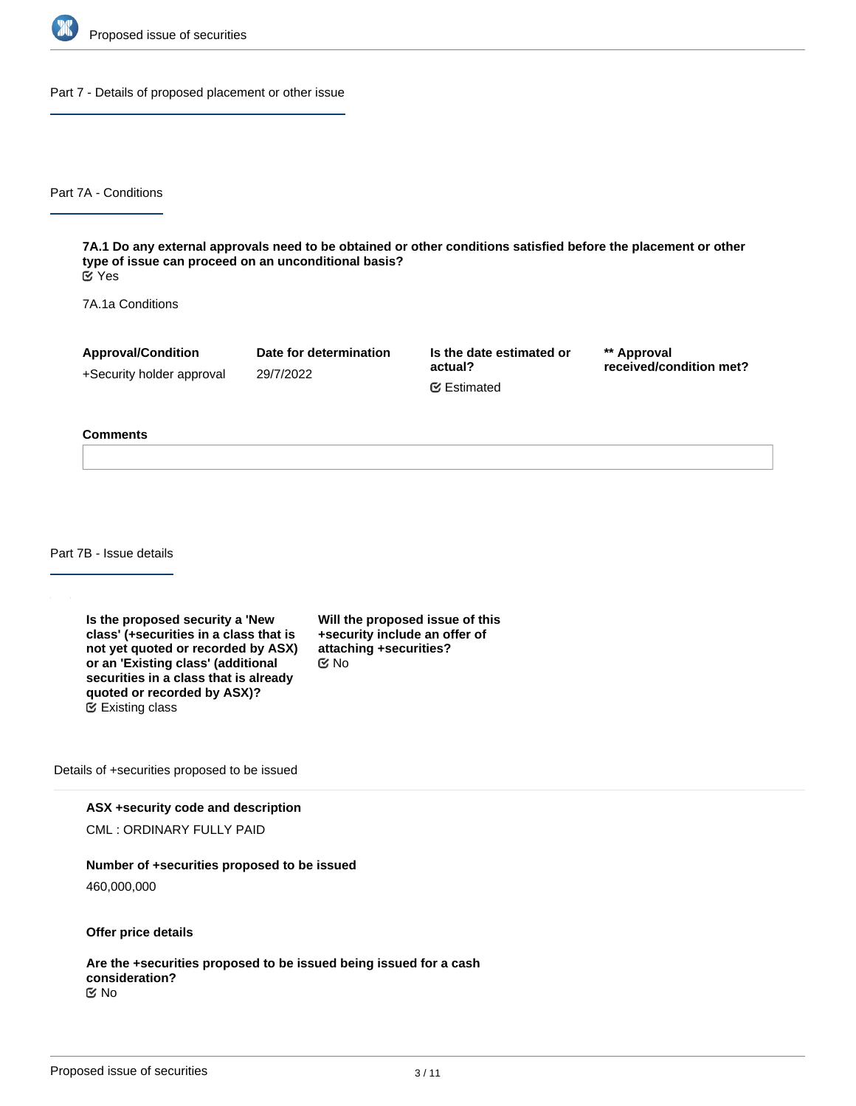

Part 7 - Details of proposed placement or other issue

Part 7A - Conditions

**7A.1 Do any external approvals need to be obtained or other conditions satisfied before the placement or other type of issue can proceed on an unconditional basis?** Yes

7A.1a Conditions

**Approval/Condition** +Security holder approval

29/7/2022

**Date for determination**

**Is the date estimated or actual?** Estimated

**\*\* Approval received/condition met?**

#### **Comments**

Part 7B - Issue details

**Is the proposed security a 'New class' (+securities in a class that is not yet quoted or recorded by ASX) or an 'Existing class' (additional securities in a class that is already quoted or recorded by ASX)?** Existing class

**Will the proposed issue of this +security include an offer of attaching +securities?** No

Details of +securities proposed to be issued

**ASX +security code and description**

CML : ORDINARY FULLY PAID

**Number of +securities proposed to be issued**

460,000,000

**Offer price details**

**Are the +securities proposed to be issued being issued for a cash consideration?** No

**Please describe the consideration being provided for the +securities**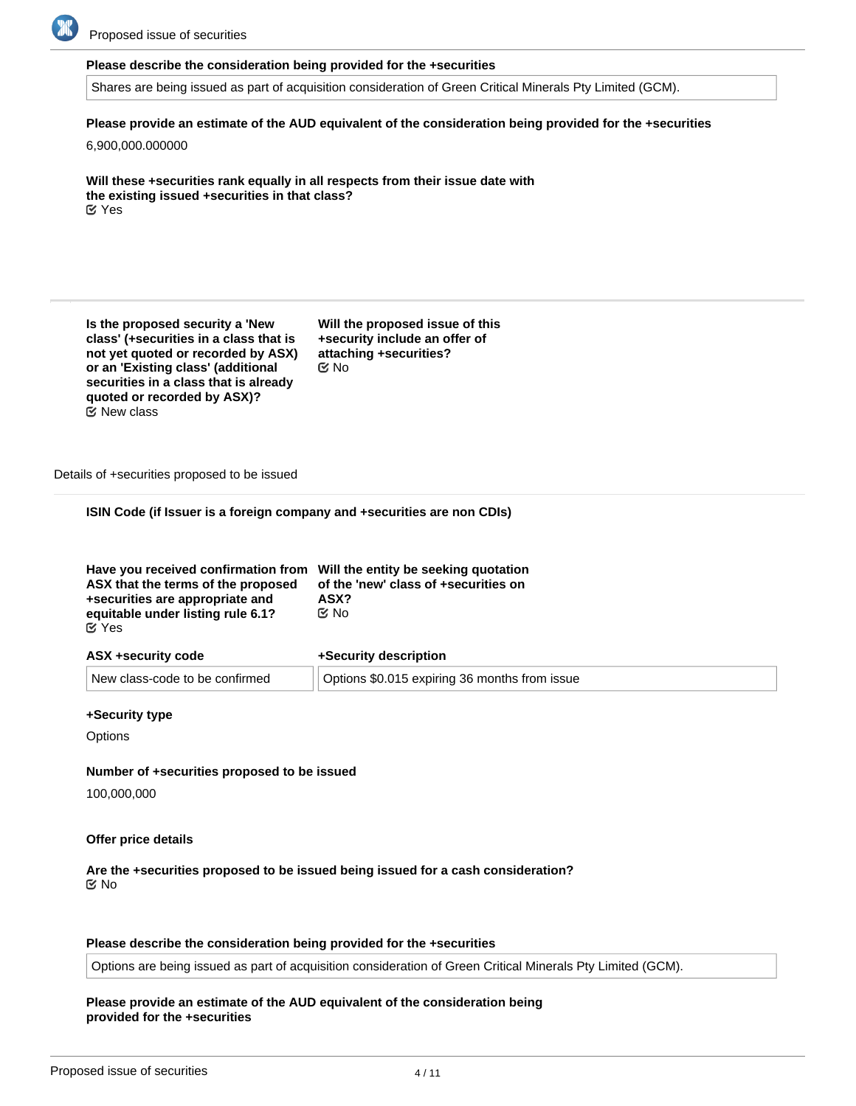

Proposed issue of securities

### **Please describe the consideration being provided for the +securities**

Shares are being issued as part of acquisition consideration of Green Critical Minerals Pty Limited (GCM).

**Please provide an estimate of the AUD equivalent of the consideration being provided for the +securities**

6,900,000.000000

**Will these +securities rank equally in all respects from their issue date with the existing issued +securities in that class?** Yes

**Is the proposed security a 'New class' (+securities in a class that is not yet quoted or recorded by ASX) or an 'Existing class' (additional securities in a class that is already quoted or recorded by ASX)?** New class

**Will the proposed issue of this +security include an offer of attaching +securities?** No

Details of +securities proposed to be issued

**ISIN Code (if Issuer is a foreign company and +securities are non CDIs)**

| equitable under listing rule 6.1?<br>়⊠ No<br>$\alpha$ Yes | Have you received confirmation from Will the entity be seeking quotation<br>ASX that the terms of the proposed<br>+securities are appropriate and | of the 'new' class of +securities on<br>ASX? |
|------------------------------------------------------------|---------------------------------------------------------------------------------------------------------------------------------------------------|----------------------------------------------|
|------------------------------------------------------------|---------------------------------------------------------------------------------------------------------------------------------------------------|----------------------------------------------|

| ASX +security code             | +Security description                         |
|--------------------------------|-----------------------------------------------|
| New class-code to be confirmed | Options \$0.015 expiring 36 months from issue |

### **+Security type**

**Options** 

## **Number of +securities proposed to be issued**

100,000,000

#### **Offer price details**

## **Are the +securities proposed to be issued being issued for a cash consideration?** No

## **Please describe the consideration being provided for the +securities**

Options are being issued as part of acquisition consideration of Green Critical Minerals Pty Limited (GCM).

### **Please provide an estimate of the AUD equivalent of the consideration being provided for the +securities**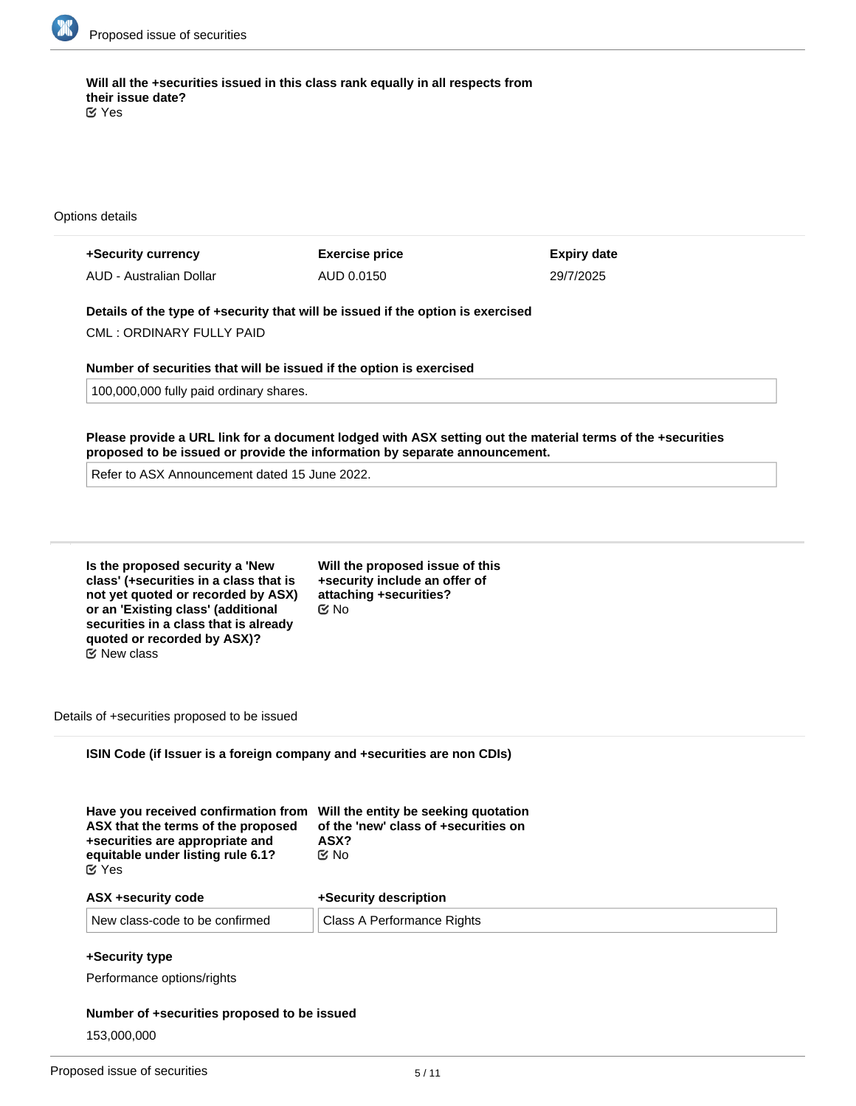

**Will all the +securities issued in this class rank equally in all respects from their issue date?** Yes

Options details

| +Security currency      | <b>Exercise price</b> | <b>Expiry date</b> |
|-------------------------|-----------------------|--------------------|
| AUD - Australian Dollar | AUD 0.0150            | 29/7/2025          |

**Details of the type of +security that will be issued if the option is exercised**

CML : ORDINARY FULLY PAID

## **Number of securities that will be issued if the option is exercised**

100,000,000 fully paid ordinary shares.

**Please provide a URL link for a document lodged with ASX setting out the material terms of the +securities proposed to be issued or provide the information by separate announcement.**

Refer to ASX Announcement dated 15 June 2022.

**Is the proposed security a 'New class' (+securities in a class that is not yet quoted or recorded by ASX) or an 'Existing class' (additional securities in a class that is already quoted or recorded by ASX)?**  $\mathfrak S$  New class

**Will the proposed issue of this +security include an offer of attaching +securities?** No

Details of +securities proposed to be issued

**ISIN Code (if Issuer is a foreign company and +securities are non CDIs)**

| Have you received confirmation from Will the entity be seeking quotation<br>ASX that the terms of the proposed<br>+securities are appropriate and<br>equitable under listing rule 6.1?<br>$\alpha$ Yes | of the 'new' class of +securities on<br>ASX?<br>় No |
|--------------------------------------------------------------------------------------------------------------------------------------------------------------------------------------------------------|------------------------------------------------------|
| ASX +security code                                                                                                                                                                                     | <b>+Security description</b>                         |

| <b>HAY TOGODITY OUGH</b>       | <b>TUGUATILY UGUUTPHUT</b> |
|--------------------------------|----------------------------|
| New class-code to be confirmed | Class A Performance Rights |

# **+Security type**

Performance options/rights

# **Number of +securities proposed to be issued**

153,000,000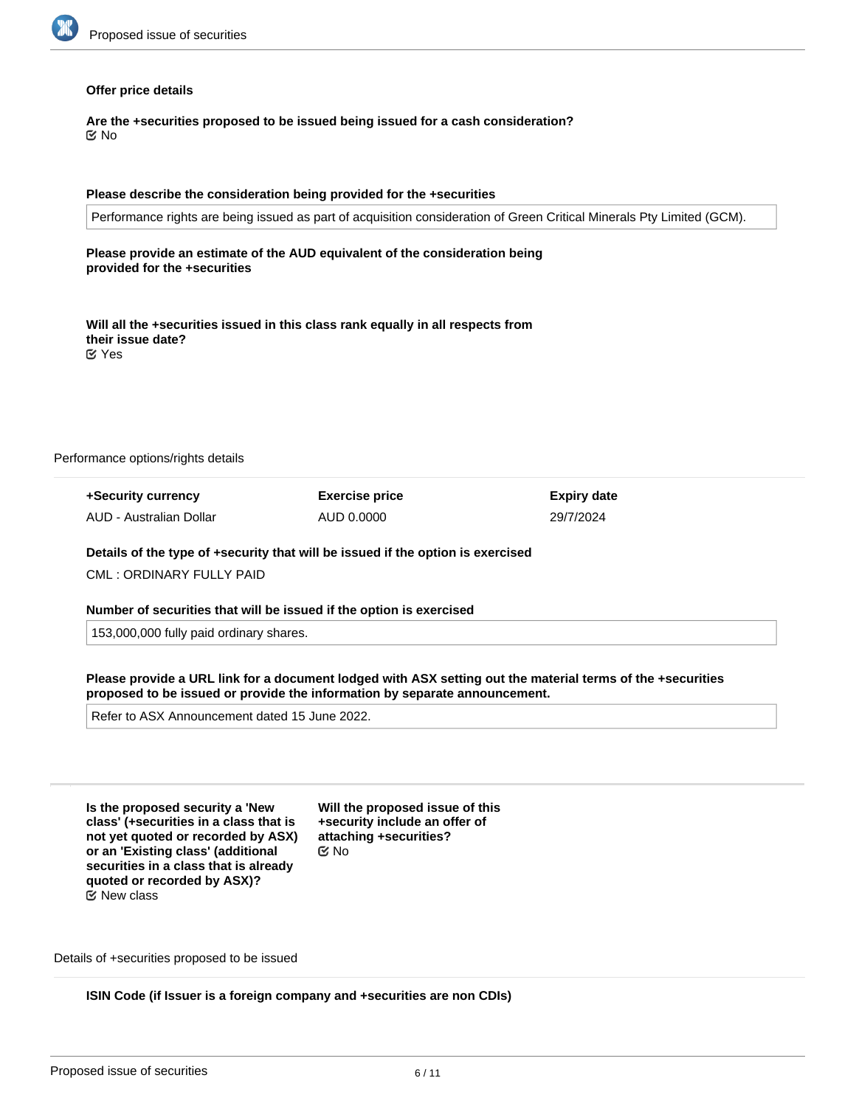

### **Offer price details**

**Are the +securities proposed to be issued being issued for a cash consideration?** No

#### **Please describe the consideration being provided for the +securities**

Performance rights are being issued as part of acquisition consideration of Green Critical Minerals Pty Limited (GCM).

**Please provide an estimate of the AUD equivalent of the consideration being provided for the +securities**

**Will all the +securities issued in this class rank equally in all respects from their issue date?** Yes

Performance options/rights details

| +Security currency      | <b>Exercise price</b> | <b>Expiry date</b> |
|-------------------------|-----------------------|--------------------|
| AUD - Australian Dollar | AUD 0.0000            | 29/7/2024          |

#### **Details of the type of +security that will be issued if the option is exercised**

CML : ORDINARY FULLY PAID

**Number of securities that will be issued if the option is exercised**

153,000,000 fully paid ordinary shares.

**Please provide a URL link for a document lodged with ASX setting out the material terms of the +securities proposed to be issued or provide the information by separate announcement.**

Refer to ASX Announcement dated 15 June 2022.

**Is the proposed security a 'New class' (+securities in a class that is not yet quoted or recorded by ASX) or an 'Existing class' (additional securities in a class that is already quoted or recorded by ASX)?** New class

**Will the proposed issue of this +security include an offer of attaching +securities?** No

Details of +securities proposed to be issued

**ISIN Code (if Issuer is a foreign company and +securities are non CDIs)**

**Have you received confirmation from Will the entity be seeking quotation**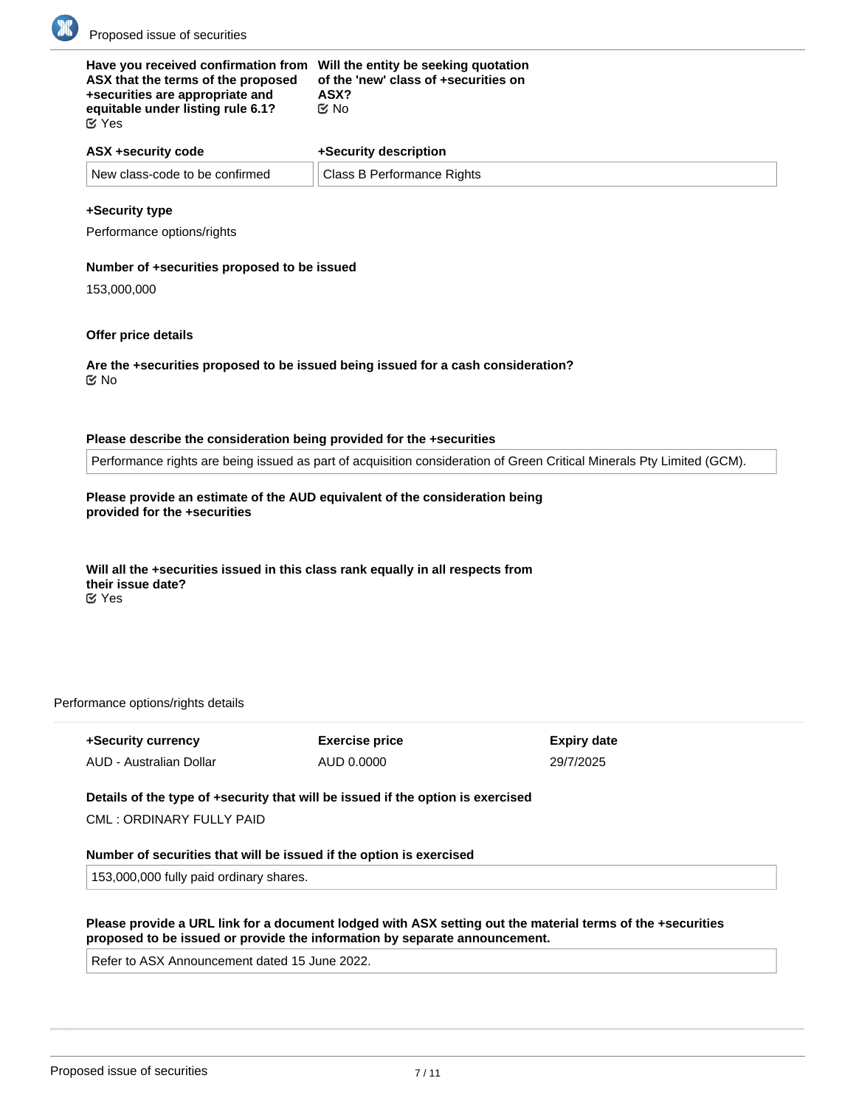

| Have you received confirmation from Will the entity be seeking quotation<br>ASX that the terms of the proposed<br>+securities are appropriate and<br>equitable under listing rule 6.1?<br>$\alpha$ Yes | of the 'new' class of +securities on<br>ASX?<br>C⁄No |  |
|--------------------------------------------------------------------------------------------------------------------------------------------------------------------------------------------------------|------------------------------------------------------|--|
| ASX +security code                                                                                                                                                                                     | +Security description                                |  |
| New class-code to be confirmed                                                                                                                                                                         | <b>Class B Performance Rights</b>                    |  |

### **+Security type**

Performance options/rights

### **Number of +securities proposed to be issued**

153,000,000

### **Offer price details**

**Are the +securities proposed to be issued being issued for a cash consideration?** No

#### **Please describe the consideration being provided for the +securities**

Performance rights are being issued as part of acquisition consideration of Green Critical Minerals Pty Limited (GCM).

# **Please provide an estimate of the AUD equivalent of the consideration being provided for the +securities**

#### **Will all the +securities issued in this class rank equally in all respects from their issue date?** Yes

#### Performance options/rights details

| +Security currency      | <b>Exercise price</b> | <b>Expiry date</b> |
|-------------------------|-----------------------|--------------------|
| AUD - Australian Dollar | AUD 0.0000            | 29/7/2025          |

## **Details of the type of +security that will be issued if the option is exercised**

CML : ORDINARY FULLY PAID

#### **Number of securities that will be issued if the option is exercised**

**Is the proposed security a 'New Will the proposed issue of this**

153,000,000 fully paid ordinary shares.

## **Please provide a URL link for a document lodged with ASX setting out the material terms of the +securities proposed to be issued or provide the information by separate announcement.**

Refer to ASX Announcement dated 15 June 2022.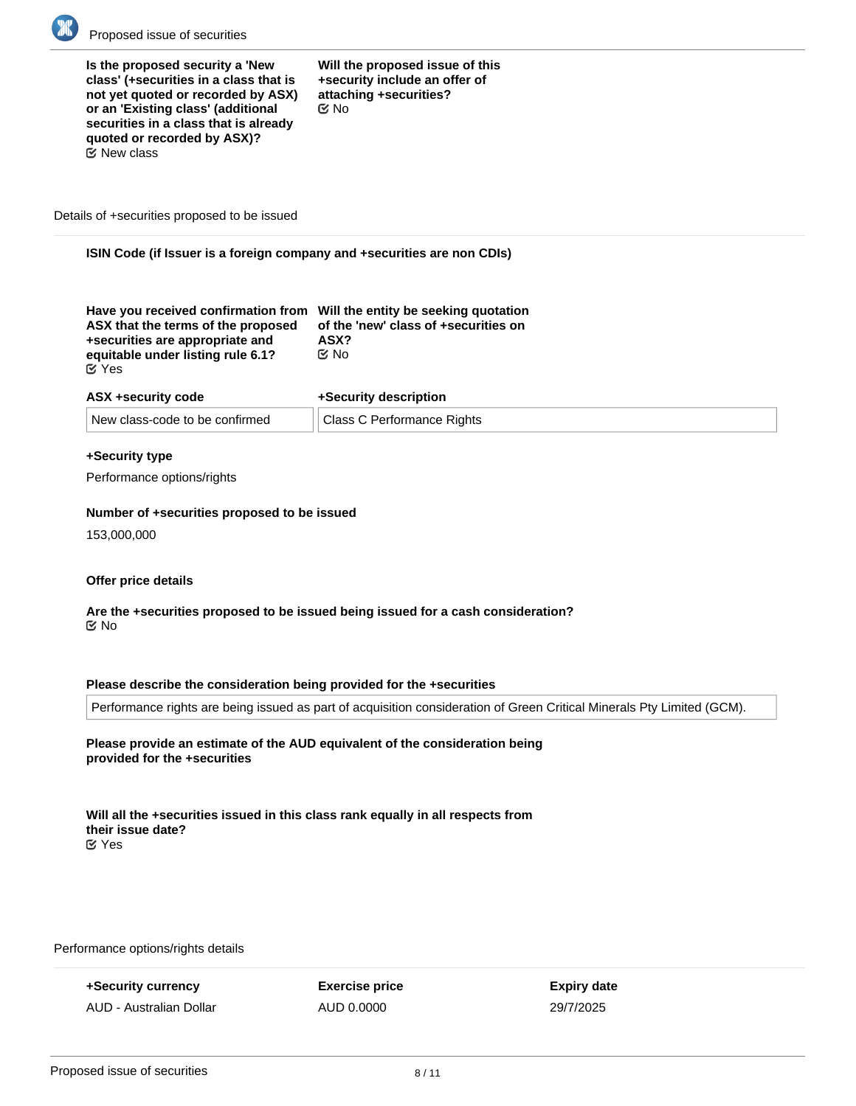

**Is the proposed security a 'New class' (+securities in a class that is not yet quoted or recorded by ASX) or an 'Existing class' (additional securities in a class that is already quoted or recorded by ASX)?**  $E$  New class

**Will the proposed issue of this +security include an offer of attaching +securities?** No

Details of +securities proposed to be issued

**ISIN Code (if Issuer is a foreign company and +securities are non CDIs)**

| Have you received confirmation from Will the entity be seeking quotation |                                      |
|--------------------------------------------------------------------------|--------------------------------------|
| ASX that the terms of the proposed                                       | of the 'new' class of +securities on |
| +securities are appropriate and                                          | ASX?                                 |
| equitable under listing rule 6.1?                                        | ় No                                 |
| $\alpha$ Yes                                                             |                                      |

| ASX +security code |                                | +Security description      |  |
|--------------------|--------------------------------|----------------------------|--|
|                    | New class-code to be confirmed | Class C Performance Rights |  |

## **+Security type**

Performance options/rights

#### **Number of +securities proposed to be issued**

153,000,000

#### **Offer price details**

### **Are the +securities proposed to be issued being issued for a cash consideration?** No

## **Please describe the consideration being provided for the +securities**

Performance rights are being issued as part of acquisition consideration of Green Critical Minerals Pty Limited (GCM).

## **Please provide an estimate of the AUD equivalent of the consideration being provided for the +securities**

**Will all the +securities issued in this class rank equally in all respects from their issue date?** Yes

**Details of the type of +security that will be issued if the option is exercised**

Performance options/rights details

**+Security currency** AUD - Australian Dollar **Exercise price** AUD 0.0000

**Expiry date** 29/7/2025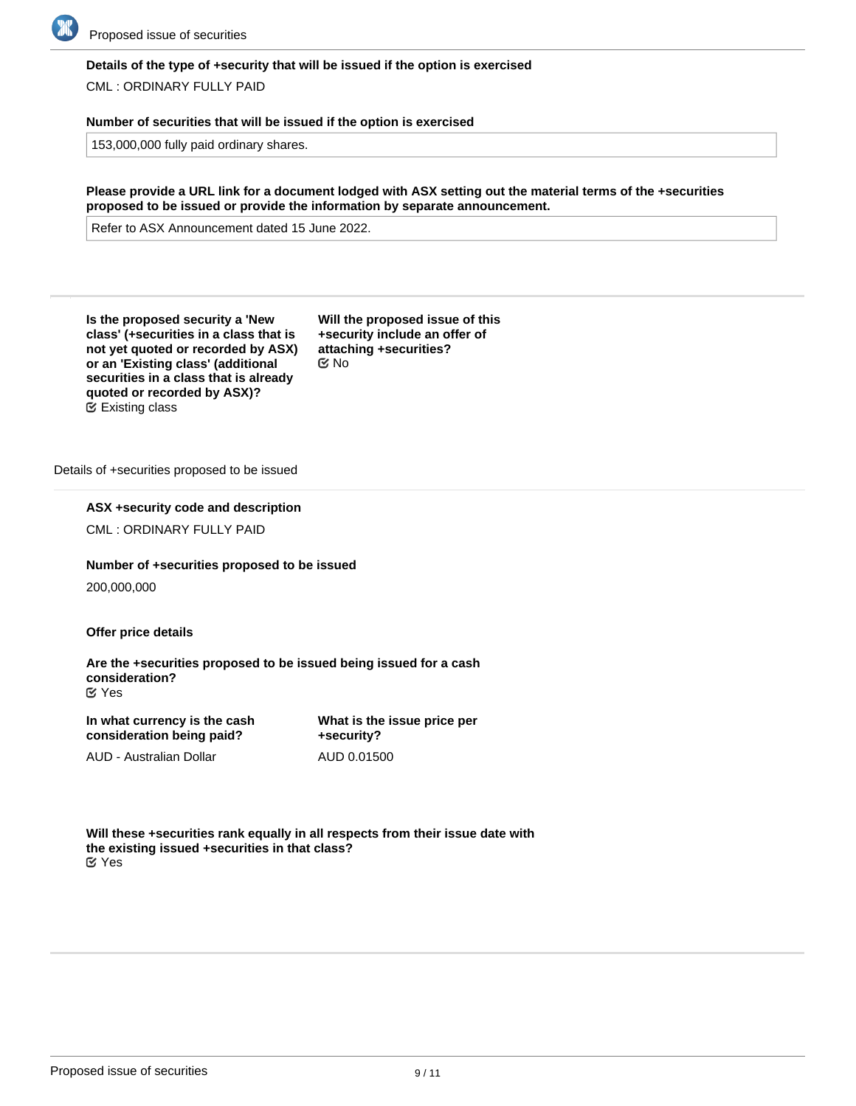

## **Details of the type of +security that will be issued if the option is exercised**

CML : ORDINARY FULLY PAID

## **Number of securities that will be issued if the option is exercised**

153,000,000 fully paid ordinary shares.

**Please provide a URL link for a document lodged with ASX setting out the material terms of the +securities proposed to be issued or provide the information by separate announcement.**

Refer to ASX Announcement dated 15 June 2022.

**Is the proposed security a 'New class' (+securities in a class that is not yet quoted or recorded by ASX) or an 'Existing class' (additional securities in a class that is already quoted or recorded by ASX)?** Existing class

**Will the proposed issue of this +security include an offer of attaching +securities?** No

Details of +securities proposed to be issued

**ASX +security code and description**

CML : ORDINARY FULLY PAID

**Number of +securities proposed to be issued**

200,000,000

**Offer price details**

**Are the +securities proposed to be issued being issued for a cash consideration?** Yes

| In what currency is the cash | What    |
|------------------------------|---------|
| consideration being paid?    | $+$ Sec |
|                              |         |

AUD - Australian Dollar

**is the issue price per +security?** AUD 0.01500

**Will these +securities rank equally in all respects from their issue date with the existing issued +securities in that class?** Yes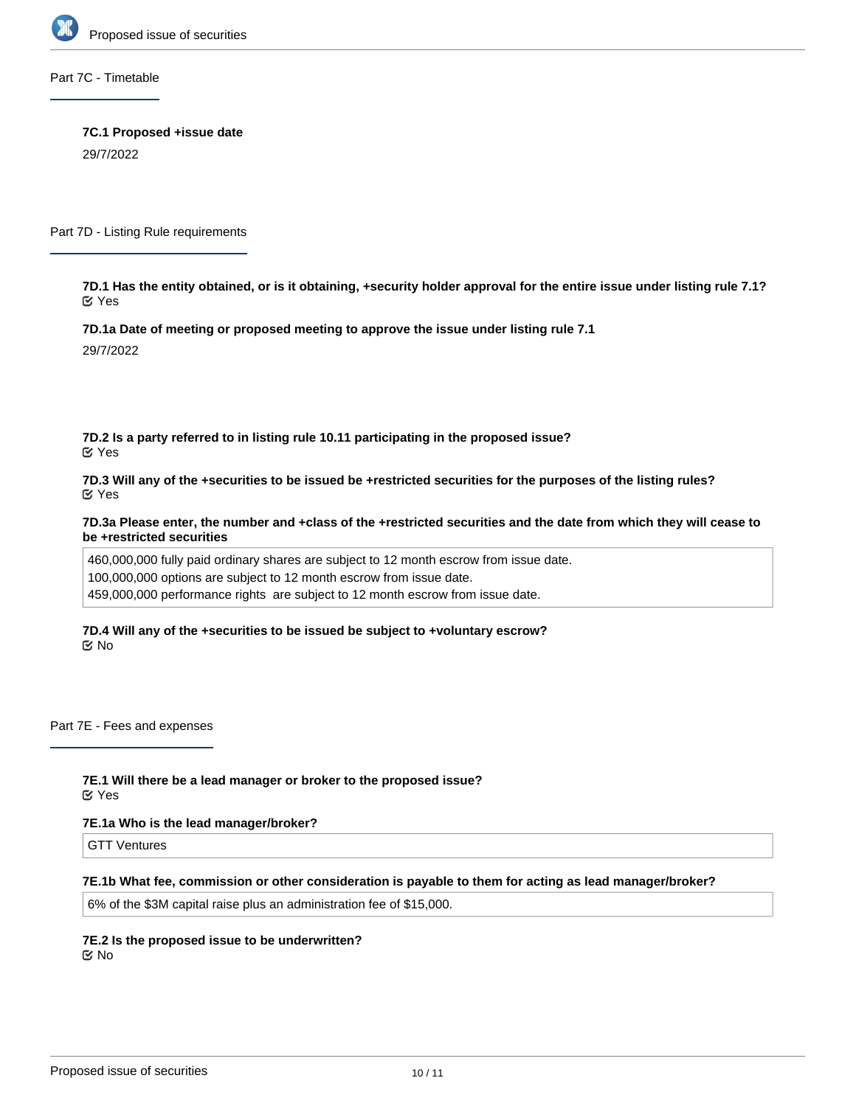

Part 7C - Timetable

**7C.1 Proposed +issue date** 29/7/2022

Part 7D - Listing Rule requirements

**7D.1 Has the entity obtained, or is it obtaining, +security holder approval for the entire issue under listing rule 7.1?** Yes

**7D.1a Date of meeting or proposed meeting to approve the issue under listing rule 7.1**

29/7/2022

**7D.2 Is a party referred to in listing rule 10.11 participating in the proposed issue?** Yes

**7D.3 Will any of the +securities to be issued be +restricted securities for the purposes of the listing rules?** Yes

**7D.3a Please enter, the number and +class of the +restricted securities and the date from which they will cease to be +restricted securities**

460,000,000 fully paid ordinary shares are subject to 12 month escrow from issue date. 100,000,000 options are subject to 12 month escrow from issue date. 459,000,000 performance rights are subject to 12 month escrow from issue date.

**7D.4 Will any of the +securities to be issued be subject to +voluntary escrow?** No

Part 7E - Fees and expenses

**7E.1 Will there be a lead manager or broker to the proposed issue?** Yes

#### **7E.1a Who is the lead manager/broker?**

GTT Ventures

#### **7E.1b What fee, commission or other consideration is payable to them for acting as lead manager/broker?**

6% of the \$3M capital raise plus an administration fee of \$15,000.

**7E.2 Is the proposed issue to be underwritten?** No